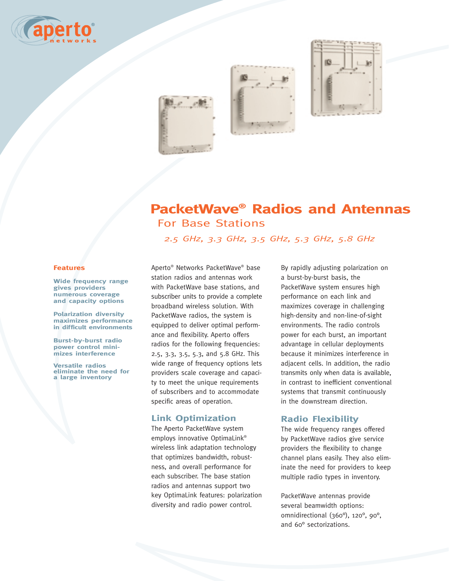





# **PacketWave® Radios and Antennas** For Base Stations

*2.5 GHz, 3.3 GHz, 3.5 GHz, 5.3 GHz, 5.8 GHz*

#### **Features**

**Wide frequency range gives providers numerous coverage and capacity options**

**Polarization diversity maximizes performance in difficult environments**

**Burst-by-burst radio power control minimizes interference**

**Versatile radios eliminate the need for a large inventory** 

Aperto® Networks PacketWave® base station radios and antennas work with PacketWave base stations, and subscriber units to provide a complete broadband wireless solution. With PacketWave radios, the system is equipped to deliver optimal performance and flexibility. Aperto offers radios for the following frequencies: 2.5, 3.3, 3.5, 5.3, and 5.8 GHz. This wide range of frequency options lets providers scale coverage and capacity to meet the unique requirements of subscribers and to accommodate specific areas of operation.

# **Link Optimization**

The Aperto PacketWave system employs innovative OptimaLink® wireless link adaptation technology that optimizes bandwidth, robustness, and overall performance for each subscriber. The base station radios and antennas support two key OptimaLink features: polarization diversity and radio power control.

By rapidly adjusting polarization on a burst-by-burst basis, the PacketWave system ensures high performance on each link and maximizes coverage in challenging high-density and non-line-of-sight environments. The radio controls power for each burst, an important advantage in cellular deployments because it minimizes interference in adjacent cells. In addition, the radio transmits only when data is available, in contrast to inefficient conventional systems that transmit continuously in the downstream direction.

# **Radio Flexibility**

The wide frequency ranges offered by PacketWave radios give service providers the flexibility to change channel plans easily. They also eliminate the need for providers to keep multiple radio types in inventory.

PacketWave antennas provide several beamwidth options: omnidirectional (360°), 120°, 90°, and 60° sectorizations.